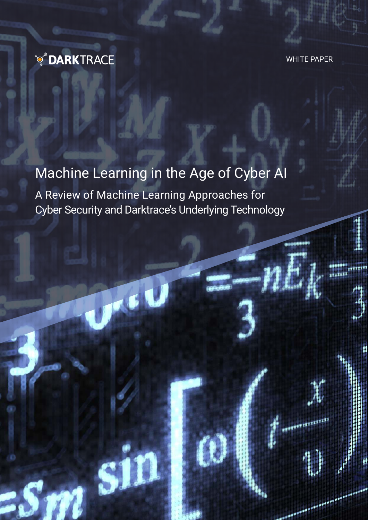

S

WHITE PAPER

I

# Machine Learning in the Age of Cyber AI

A Review of Machine Learning Approaches for Cyber Security and Darktrace's Underlying Technology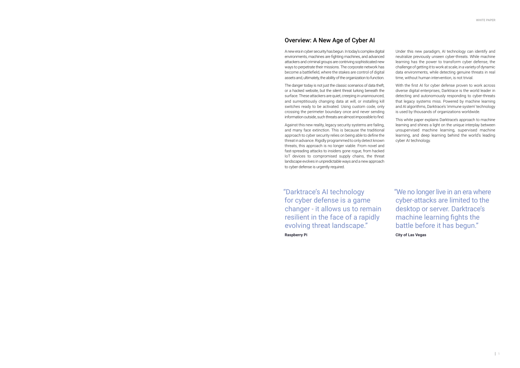### Overview: A New Age of Cyber AI

A new era in cyber security has begun. In today's complex digital environments, machines are fighting machines, and advanced attackers and criminal groups are contriving sophisticated new ways to perpetrate their missions. The corporate network has become a battlefield, where the stakes are control of digital assets and, ultimately, the ability of the organization to function.

The danger today is not just the classic scenarios of data theft, or a hacked website, but the silent threat lurking beneath the surface. These attackers are quiet, creeping in unannounced, and surreptitiously changing data at will, or installing kill switches ready to be activated. Using custom code, only crossing the perimeter boundary once and never sending information outside, such threats are almost impossible to find.

Against this new reality, legacy security systems are failing, and many face extinction. This is because the traditional approach to cyber security relies on being able to define the threat in advance. Rigidly programmed to only detect known threats, this approach is no longer viable. From novel and fast-spreading attacks to insiders gone rogue, from hacked IoT devices to compromised supply chains, the threat landscape evolves in unpredictable ways and a new approach to cyber defense is urgently required.

"Darktrace's AI technology for cyber defense is a game changer - it allows us to remain resilient in the face of a rapidly evolving threat landscape."

**Raspberry Pi**

"We no longer live in an era where cyber-attacks are limited to the desktop or server. Darktrace's machine learning fights the battle before it has begun."

**City of Las Vegas**

Under this new paradigm, AI technology can identify and neutralize previously unseen cyber-threats. While machine learning has the power to transform cyber defense, the challenge of getting it to work at scale, in a variety of dynamic data environments, while detecting genuine threats in real time, without human intervention, is not trivial.

With the first AI for cyber defense proven to work across diverse digital enterprises, Darktrace is the world leader in detecting and autonomously responding to cyber-threats that legacy systems miss. Powered by machine learning and AI algorithms, Darktrace's 'immune system' technology is used by thousands of organizations worldwide.

This white paper explains Darktrace's approach to machine learning and shines a light on the unique interplay between unsupervised machine learning, supervised machine learning, and deep learning behind the world's leading cyber AI technology.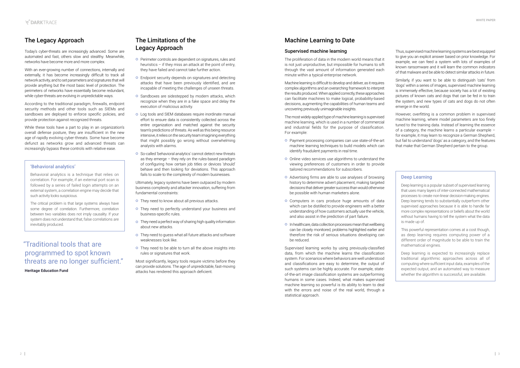### Machine Learning to Date

#### Supervised machine learning

The proliferation of data in the modern world means that it is not just unproductive, but impossible for humans to sift through the vast amount of information generated each minute within a typical enterprise network.

Machine learning is difficult to develop and deliver, as it requires complex algorithms and an overarching framework to interpret the results produced. When applied correctly, these approaches can facilitate machines to make logical, probability-based decisions, augmenting the capabilities of human teams and uncovering previously unimaginable insights.

The most widely-applied type of machine learning is supervised machine learning, which is used in a number of commercial and industrial fields for the purpose of classification. For example:

- o Payment processing companies can use state-of-the-art machine learning techniques to build models which can identify fraudulent payments in real time.
- Online video services use algorithms to understand the viewing preferences of customers in order to provide tailored recommendations for subscribers.
- Advertising firms are able to use analyses of browsing history to determine advert placement, making targeted decisions that deliver greater success than would otherwise be possible with human marketers alone.
- o Computers in cars produce huge amounts of data which can be distilled to provide engineers with a better understanding of how customers actually use the vehicle, and also assist in the prediction of part failure.
- o In healthcare, data collection processes mean that wellbeing can be closely monitored, problems highlighted earlier and therefore the risk of serious situations developing can be reduced.

Supervised learning works by using previously-classified data, from which the machine learns the classification system. For scenarios where behaviors are well understood and classifications are easy to determine, the output of such systems can be highly accurate. For example, stateof-the-art image classification systems are outperforming humans in some cases. Indeed, what makes supervised machine learning so powerful is its ability to learn to deal with the errors and noise of the real world, through a statistical approach.

Thus, supervised machine learning systems are best equipped to give you an explicit answer based on prior knowledge. For example, we can feed a system with lots of examples of known ransomware and it will learn the common indicators of that malware and be able to detect similar attacks in future.

Similarly, if you want to be able to distinguish 'cats' from 'dogs' within a series of images, supervised machine learning is immensely effective, because society has a lot of existing pictures of known cats and dogs that can be fed in to train the system, and new types of cats and dogs do not often emerge in the world.

- **O** Perimeter controls are dependent on signatures, rules and heuristics – if they miss an attack at the point of entry, they have failed and cannot take further action.
- Endpoint security depends on signatures and detecting attacks that have been previously identified, and are incapable of meeting the challenges of unseen threats.
- o Sandboxes are sidestepped by modern attacks, which recognize when they are in a fake space and delay the execution of malicious activity.
- **o** Log tools and SIEM databases require inordinate manual effort to ensure data is consistently collected across the entire organization and matched against the security team's predictions of threats. As well as this being resource intensive, it relies on the security team imagining everything that might possibly go wrong without overwhelming analysts with alarms.
- So-called 'behavioral analytics' cannot detect new threats as they emerge – they rely on the rules-based paradigm of configuring how certain job titles or devices 'should' behave and then looking for deviations. This approach fails to scale to the complexity of modern businesses.

- o They need to know about all previous attacks.
- o They need to perfectly understand your business and business-specific rules.
- o They need a perfect way of sharing high quality information about new attacks.
- o They need to guess what all future attacks and software weaknesses look like.
- o They need to be able to turn all the above insights into rules or signatures that work.

However, overfitting is a common problem in supervised machine learning, where model parameters are too finely tuned to the training data. Instead of learning the essence of a category, the machine learns a particular example – for example, it may learn to recognize a German Shepherd, but fail to understand 'dogs' as a category, and the features that make that German Shepherd pertain to the group.

# The Legacy Approach

Today's cyber-threats are increasingly advanced. Some are automated and fast, others slow and stealthy. Meanwhile, networks have become more and more complex.

With an ever-growing number of connections, internally and externally, it has become increasingly difficult to track all network activity, and to set parameters and signatures that will provide anything but the most basic level of protection. The perimeters of networks have essentially become redundant, while cyber-threats are evolving in unpredictable ways.

According to the traditional paradigm, firewalls, endpoint security methods and other tools such as SIEMs and sandboxes are deployed to enforce specific policies, and provide protection against recognized threats.

While these tools have a part to play in an organization's overall defense posture, they are insufficient in the new age of rapidly evolving cyber-threats. Some have become defunct as networks grow and advanced threats can increasingly bypass these controls with relative ease.

### The Limitations of the Legacy Approach

Ultimately, legacy systems have been outpaced by modern business complexity and attacker innovation, suffering from fundamental constraints:

Most significantly, legacy tools require victims before they can provide solutions. The age of unpredictable, fast-moving attacks has rendered this approach deficient.

#### 'Behavioral analytics'

Behavioral analytics is a technique that relies on correlation. For example, if an external port scan is followed by a series of failed login attempts on an external system, a correlation engine may decide that such activity looks suspicious.

The critical problem is that large systems always have some degree of correlation. Furthermore, correlation between two variables does not imply causality. If your system does not understand that, false correlations are inevitably produced.

#### Deep Learning

Deep learning is a popular subset of supervised learning that uses many layers of inter-connected mathematical processes to create non-linear decision-making engines. Deep learning tends to substantially outperform other supervised approaches because it is able to handle far more complex representations or beliefs about the world without humans having to tell the system what the data is made up of.

This powerful representation comes at a cost though, as deep learning requires computing power of a different order of magnitude to be able to train the mathematical engines.

Deep learning is expected to increasingly replace traditional algorithmic approaches across all of computing where sufficient input data, examples of the expected output, and an automated way to measure whether the algorithm is successful, are available.

# "Traditional tools that are programmed to spot known threats are no longer sufficient."

**Heritage Education Fund**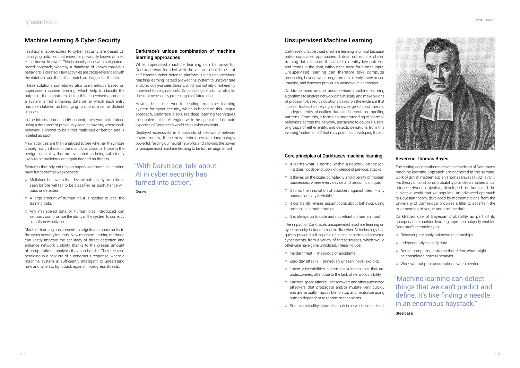

#### Darktrace's unique combination of machine learning approaches

While supervised machine learning can be powerful, Darktrace was founded with the vision to build the first self-learning cyber defense platform. Using unsupervised machine learning instead allowed the system to uncover rare and previously-unseen threats, which did not rely on inherently imperfect training data sets. Data relating to historical attacks does not necessarily protect against future ones.

Having built the world's leading machine learning system for cyber security, which is based on this unique approach, Darktrace also uses deep learning techniques to supplement its AI engine with the specialized domain expertise of Darktrace's world-class cyber analysts.

Deployed extensively in thousands of real-world network environments, these new techniques are increasingly powerful, feeding our neural networks and allowing the power of unsupervised machine learning to be further augmented.

### Unsupervised Machine Learning

Darktrace's unsupervised machine learning is critical because, unlike supervised approaches, it does not require labeled training data. Instead it is able to identify key patterns and trends in the data, without the need for human input. Unsupervised learning can therefore take computer processing beyond what programmers already know or can imagine, and discover previously unknown relationships.

Darktrace uses unique unsupervised machine learning algorithms to analyze network data at scale, and make billions of probability-based calculations based on the evidence that it sees. Instead of relying on knowledge of past threats, it independently classifies data and detects compelling patterns. From this, it forms an understanding of 'normal' behaviors across the network, pertaining to devices, users, or groups of either entity, and detects deviations from this evolving 'pattern of life' that may point to a developing threat.

#### Core principles of Darktrace's machine learning

- o It learns what is normal within a network 'on the job' – it does not depend upon knowledge of previous attacks.
- o It thrives on the scale, complexity and diversity of modern businesses, where every device and person is unique.
- $\circ$  It turns the innovation of attackers against them any unusual activity is visible.
- o It constantly revises assumptions about behavior, using probabilistic mathematics.
- o It is always up to date and not reliant on human input.
- o Malicious behaviors that deviate sufficiently from those seen before will fail to be classified as such, hence will pass undetected.
- A large amount of human input is needed to label the training data.
- Any mislabeled data or human bias introduced can seriously compromise the ability of the system to correctly classify new activities.

The impact of Darktrace's unsupervised machine learning on cyber security is transformative. Its cyber AI technology has quickly proved itself capable of seeing hitherto undiscovered cyber events, from a variety of threat sources, which would otherwise have gone unnoticed. These include:

- o Insider threat malicious or accidental.
- Zero-day attacks previously unseen, novel exploits.
- Latent vulnerabilities dormant vulnerabilities that are undiscovered, often due to the lack of network visibility.
- Machine-speed attacks ransomware and other automated attackers that propagate and/or mutate very quickly and are virtually impossible to stop and neutralize using human-dependent response mechanisms.
- **O** Silent and stealthy attacks that lurk in networks undetected.

# "With Darktrace, talk about AI in cyber security has turned into action"

# Machine Learning & Cyber Security

Traditional approaches to cyber security are based on identifying activities that resemble previously known attacks – the 'known knowns'. This is usually done with a signaturebased approach, whereby a database of known malicious behaviors is created. New activities are cross-referenced with the database and those that match are flagged as threats.

These solutions sometimes also use methods based on supervised machine learning, which help to classify the output of the signatures. Using this supervised approach, a system is fed a training data set in which each entry has been labeled as belonging to one of a set of distinct classes.

In the information security context, the system is trained using a database of previously seen behaviors, where each behavior is known to be either malicious or benign and is labeled as such.

New activities are then analyzed to see whether they more closely match those in the malicious class, or those in the benign class. Any that are evaluated as being sufficiently likely to be malicious are again flagged as threats.

Systems that rely entirely on supervised machine learning have fundamental weaknesses:

Machine learning has presented a significant opportunity to the cyber security industry. New machine learning methods can vastly improve the accuracy of threat detection and enhance network visibility thanks to the greater amount of computational analysis they can handle. They are also heralding in a new era of autonomous response, where a machine system is sufficiently intelligent to understand how and when to fight back against in-progress threats.

#### Reverend Thomas Bayes

The cutting-edge mathematics at the forefront of Darktrace's machine learning approach are anchored in the seminal work of British mathematician Thomas Bayes (1702–1761). His theory of conditional probability provides a mathematical bridge between objective, developed methods and the subjective world that we populate. An advanced approach to Bayesian theory, developed by mathematicians from the University of Cambridge, provides a filter to ascertain the true meaning of vague and profuse data.

Darktrace's use of Bayesian probability as part of its unsupervised machine learning approach uniquely enables Darktrace's technology to:

- o Discover previously unknown relationships.
- o Independently classify data.
- o Detect compelling patterns that define what might be considered normal behavior.
- **o** Work without prior assumptions when needed.

**Ovum**

"Machine learning can detect things that we can't predict and define. It's like finding a needle in an enormous haystack."

**Steelcase**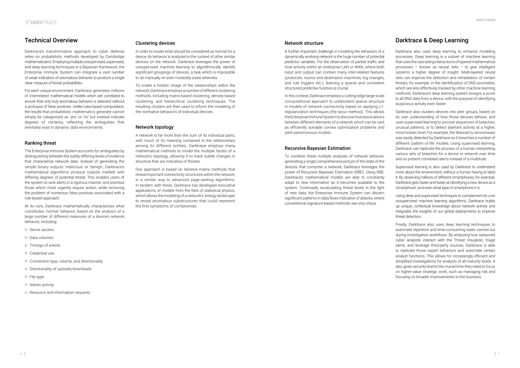#### Clustering devices

In order to model what should be considered as normal for a device, its behavior is analyzed in the context of other similar devices on the network. Darktrace leverages the power of unsupervised machine learning to algorithmically identify significant groupings of devices, a task which is impossible to do manually on even modestly-sized networks.

To create a holistic image of the relationships within the network, Darktrace employs a number of different clustering methods, including matrix-based clustering, density-based clustering, and hierarchical clustering techniques. The resulting clusters are then used to inform the modeling of the normative behaviors of individual devices.

#### Network topology

A network is far more than the sum of its individual parts, with much of its meaning contained in the relationships among its different entities. Darktrace employs many mathematical methods to model the multiple facets of a network's topology, allowing it to track subtle changes in structure that are indicative of threats.

One approach is based on iterative matrix methods that reveal important connectivity structures within the network, in a similar way to advanced page-ranking algorithms. In tandem with these, Darktrace has developed innovative applications of models from the field of statistical physics, which allows the modeling of a network's 'energy landscape' to reveal anomalous substructures that could represent the first symptoms of compromise.

#### Network structure

A further important challenge in modeling the behaviors of a dynamically evolving network is the huge number of potential predictor variables. For the observation of packet traffic and host activity within an enterprise LAN or WAN, where both input and output can contain many inter-related features (protocols, source and destination machines, log changes, and rule triggers etc.), learning a sparse and consistent structured predictive function is crucial.

In this context, Darktrace employs a cutting-edge large-scale computational approach to understand sparse structure in models of network connectivity based on applying L1 regularization techniques (the lasso method). This allows the Enterprise Immune System to discover true associations between different elements of a network which can be cast as efficiently solvable convex optimization problems and yield parsimonious models.

#### Recursive Bayesian Estimation

To combine these multiple analyses of network behavior, generating a single comprehensive picture of the state of the devices that comprise a network, Darktrace leverages the power of Recursive Bayesian Estimation (RBE). Using RBE, Darktrace's mathematical models are able to constantly adapt to new information as it becomes available to the system. Continually recalculating threat levels in the light of new data, the Enterprise Immune System can discern significant patterns in data flows indicative of attacks, where conventional signature-based methods see only chaos.

### Darktrace & Deep Learning

Darktrace also uses deep learning to enhance modeling processes. Deep learning is a subset of machine learning that uses the cascading interactions of layered mathematical processes – known as neural nets – to give intelligent systems a higher degree of insight. Multi-layered neural nets can improve the detection and remediation of certain threats, for example, in the identification of DNS anomalies, which are less effectively tracked by other machine learning methods. Darktrace's deep learning system assigns a score to all DNS data from a device, with the purpose of identifying suspicious activity even faster.

Darktrace also clusters devices into peer groups, based on its own understanding of how those devices behave, and uses supervised learning to uncover sequences of breaches, unusual patterns, or to detect aberrant activity at a higher, more holistic level. For example, the WannaCry ransomware was easily detected by Darktrace as it breaches a number of different 'pattern of life' models. Using supervised learning, Darktrace can replicate the process of a human interpreting various sets of breaches for a device or network over time and so present correlated alerts instead of a multitude.

Supervised learning is also used by Darktrace to understand more about the environment, without a human having to label it. By observing millions of different smartphones, for example, Darktrace gets faster and faster at identifying a new device as a 'smartphone', and even what type of smartphone it is.

Using deep and supervised techniques to complement its core unsupervised machine learning algorithms, Darktrace builds up unique, contextual knowledge about network activity and integrates the insights of our global deployments to improve threat detection.

Finally, Darktrace also uses deep learning techniques to automate repetitive and time-consuming tasks carried out during investigation workflows. By analyzing how seasoned cyber analysts interact with the Threat Visualizer, triage alerts, and leverage third-party sources, Darktrace is able to replicate those expert behaviors and automate certain analyst functions. This allows for increasingly efficient and simplified investigations for analysts of all maturity levels. It also gives security teams the crucial time they need to focus on higher-value strategic work, such as managing risk and focusing on broader improvements to the business.

### Technical Overview

Darktrace's transformative approach to cyber defense relies on probabilistic methods developed by Cambridge mathematicians. Employing multiple unsupervised, supervised, and deep learning techniques in a Bayesian framework, the Enterprise Immune System can integrate a vast number of weak indicators of anomalous behavior to produce a single clear measure of threat probabilities.

For each unique environment, Darktrace generates millions of interrelated mathematical models which are correlated to ensure that only truly anomalous behavior is detected without a profusion of false positives. Unlike rules-based computation, the results that probabilistic mathematics generate cannot simply be categorized as 'yes' or 'no' but instead indicate degrees of certainty, reflecting the ambiguities that inevitably exist in dynamic data environments.

#### Ranking threat

The Enterprise Immune System accounts for ambiguities by distinguishing between the subtly differing levels of evidence that characterize network data. Instead of generating the simple binary outputs 'malicious' or 'benign', Darktrace's mathematical algorithms produce outputs marked with differing degrees of potential threat. This enables users of the system to rank alerts in a rigorous manner, and prioritize those which most urgently require action, while removing the problem of numerous false positives associated with a rule-based approach.

At its core, Darktrace mathematically characterizes what constitutes 'normal' behavior, based on the analysis of a large number of different measures of a device's network behavior, including:

- **o** Server access
- **o** Data volumes
- **o** Timings of events
- **o** Credential use
- **o** Connection type, volume, and directionality
- o Directionality of uploads/downloads
- o File type
- **o** Admin activity
- **O** Resource and information requests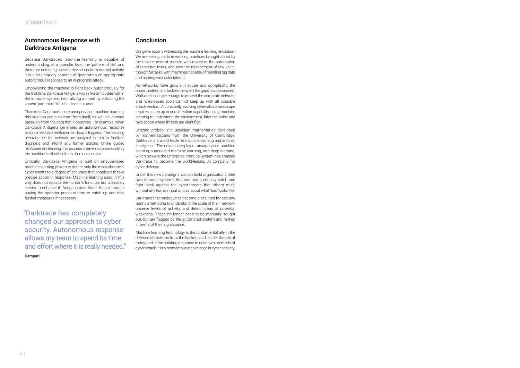### Conclusion

Our generation is witnessing the machine learning revolution. We are seeing shifts in working practices brought about by the replacement of muscle with machine, the automation of repetitive tasks, and now the replacement of low value, thoughtful tasks with machines capable of handling big data and making vast calculations.

As networks have grown in scope and complexity, the opportunities for attackers to exploit the gaps have increased. Walls are no longer enough to protect the corporate network. and rules-based tools cannot keep up with all possible attack vectors. A constantly evolving cyber-attack landscape requires a step up in our detection capability, using machine learning to understand the environment, filter the noise and take action where threats are identified.

Utilizing probabilistic Bayesian mathematics developed by mathematicians from the University of Cambridge, Darktrace is a world leader in machine learning and artificial intelligence. The unique interplay of unsupervised machine learning, supervised machine learning, and deep learning, which powers the Enterprise Immune System has enabled Darktrace to become the world-leading AI company for cyber defense.

Under this new paradigm, we can build organizations their own immune systems that can autonomously catch and fight back against the cyber-threats that others miss, without any human input or bias about what 'bad' looks like.

Darktrace's technology has become a vital tool for security teams attempting to understand the scale of their network, observe levels of activity, and detect areas of potential weakness. These no longer need to be manually sought out, but are flagged by the automated system and ranked in terms of their significance.

Machine learning technology is the fundamental ally in the defense of systems from the hackers and insider threats of today, and in formulating response to unknown methods of cyber-attack. It is a momentous step change in cyber security.

# Autonomous Response with Darktrace Antigena

Because Darktrace's machine learning is capable of understanding, at a granular level, the 'pattern of life', and therefore detecting specific deviations from normal activity, it is also uniquely capable of generating an appropriate autonomous response to an in-progress attack.

Empowering the machine to fight back autonomously for the first time, Darktrace Antigena works like antibodies within the immune system, neutralizing a threat by enforcing the known 'pattern of life' of a device or user.

Thanks to Darktrace's core unsupervised machine learning, this solution can also learn from itself, as well as learning passively from the data that it observes. For example, when Darktrace Antigena generates an autonomous response action, a feedback reinforcement loop is triggered. The resulting behaviors on the network are analyzed in turn to facilitate diagnosis and inform any further actions. Unlike guided reinforcement learning, this process is driven autonomously by the machine itself rather than a human operator.

Critically, Darktrace Antigena is built on unsupervised machine learning proven to detect only the most abnormal cyber events to a degree of accuracy that enables it to take precise action in response. Machine learning used in this way does not replace the human's function, but ultimately serves to enhance it. Antigena acts faster than a human, buying the operator precious time to catch up and take further measures if necessary.

"Darktrace has completely changed our approach to cyber security. Autonomous response allows my team to spend its time and effort where it is really needed." **Campari**